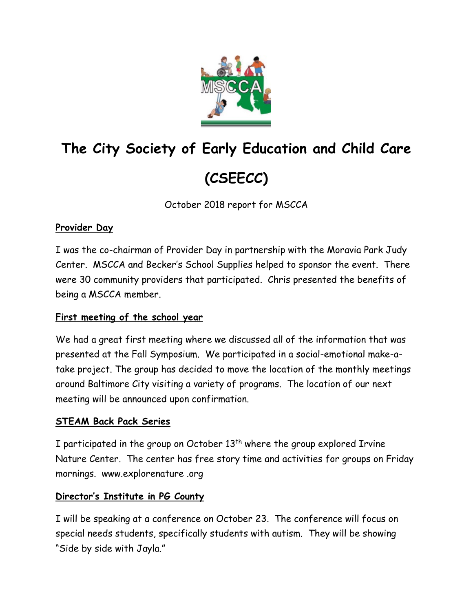

# **The City Society of Early Education and Child Care (CSEECC)**

October 2018 report for MSCCA

# **Provider Day**

I was the co-chairman of Provider Day in partnership with the Moravia Park Judy Center. MSCCA and Becker's School Supplies helped to sponsor the event. There were 30 community providers that participated. Chris presented the benefits of being a MSCCA member.

# **First meeting of the school year**

We had a great first meeting where we discussed all of the information that was presented at the Fall Symposium. We participated in a social-emotional make-atake project. The group has decided to move the location of the monthly meetings around Baltimore City visiting a variety of programs. The location of our next meeting will be announced upon confirmation.

# **STEAM Back Pack Series**

I participated in the group on October  $13<sup>th</sup>$  where the group explored Irvine Nature Center. The center has free story time and activities for groups on Friday mornings. www.explorenature .org

# **Director's Institute in PG County**

I will be speaking at a conference on October 23. The conference will focus on special needs students, specifically students with autism. They will be showing "Side by side with Jayla."